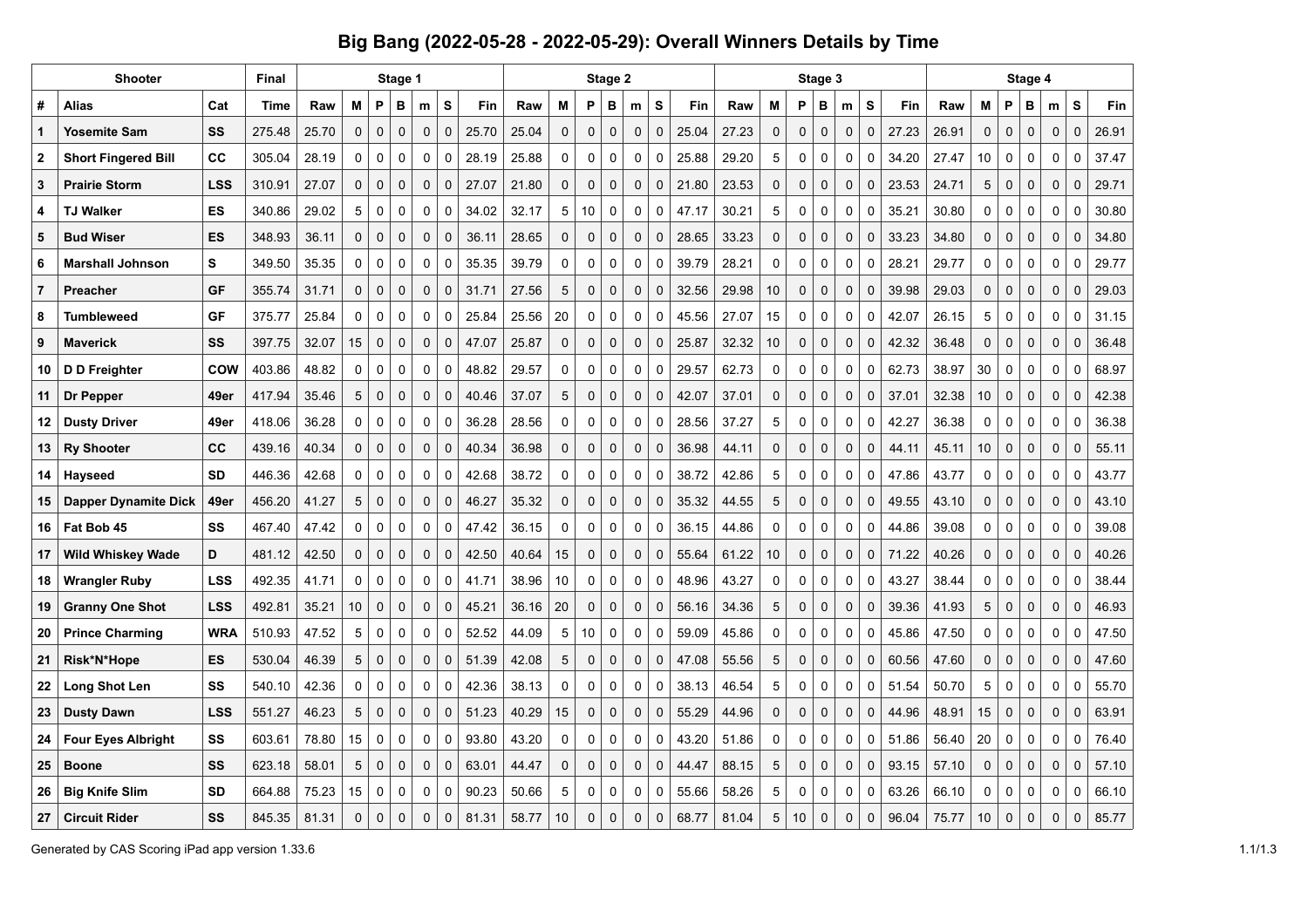## **Big Bang (2022-05-28 - 2022-05-29): Overall Winners Details by Time**

|                | Shooter                     | <b>Final</b> |             |       |                 | Stage 1     |             |             |              | Stage 2 |       |             |             |             |             |             |       |       | Stage 4     |             |             |             |             |       |       |             |             |              |             |             |       |
|----------------|-----------------------------|--------------|-------------|-------|-----------------|-------------|-------------|-------------|--------------|---------|-------|-------------|-------------|-------------|-------------|-------------|-------|-------|-------------|-------------|-------------|-------------|-------------|-------|-------|-------------|-------------|--------------|-------------|-------------|-------|
| #              | Alias                       | Cat          | <b>Time</b> | Raw   | M               | P           | в           | m           | S            | Fin     | Raw   | M           | P           | в           | m           | S           | Fin   | Raw   | M           | P           | в           | m           | S           | Fin   | Raw   | M           | P           | B            | m           | S           | Fin   |
| $\mathbf 1$    | <b>Yosemite Sam</b>         | SS           | 275.48      | 25.70 | $\pmb{0}$       | $\mathbf 0$ | $\mathbf 0$ | $\mathbf 0$ | $\mathbf 0$  | 25.70   | 25.04 | 0           | $\pmb{0}$   | 0           | $\pmb{0}$   | $\mathbf 0$ | 25.04 | 27.23 | 0           | 0           | $\pmb{0}$   | 0           | $\mathbf 0$ | 27.23 | 26.91 | $\pmb{0}$   | $\mathbf 0$ | 0            | $\mathbf 0$ | $\pmb{0}$   | 26.91 |
| $\mathbf{2}$   | <b>Short Fingered Bill</b>  | cc           | 305.04      | 28.19 | 0               | $\mathbf 0$ | $\mathbf 0$ | 0           | 0            | 28.19   | 25.88 | 0           | $\mathbf 0$ | 0           | $\mathbf 0$ | $\mathbf 0$ | 25.88 | 29.20 | 5           | $\mathbf 0$ | $\mathbf 0$ | 0           | $\mathbf 0$ | 34.20 | 27.47 | 10          | 0           | 0            | $\mathbf 0$ | $\mathbf 0$ | 37.47 |
| 3              | <b>Prairie Storm</b>        | <b>LSS</b>   | 310.91      | 27.07 | $\mathbf 0$     | $\mathbf 0$ | $\mathbf 0$ | 0           | 0            | 27.07   | 21.80 | $\mathbf 0$ | $\mathbf 0$ | 0           | $\mathbf 0$ | $\mathbf 0$ | 21.80 | 23.53 | $\mathbf 0$ | $\mathbf 0$ | $\mathbf 0$ | 0           | $\mathbf 0$ | 23.53 | 24.71 | 5           | $\mathbf 0$ | $\mathbf 0$  | 0           | $\mathbf 0$ | 29.71 |
| 4              | <b>TJ Walker</b>            | ES           | 340.86      | 29.02 | 5               | $\mathbf 0$ | $\mathbf 0$ | $\mathbf 0$ | 0            | 34.02   | 32.17 | 5           | 10          | 0           | $\mathbf 0$ | $\mathbf 0$ | 47.17 | 30.21 | 5           | $\mathbf 0$ | $\mathbf 0$ | 0           | 0           | 35.21 | 30.80 | 0           | 0           | $\mathbf 0$  | $\mathbf 0$ | $\mathbf 0$ | 30.80 |
| 5              | <b>Bud Wiser</b>            | ES           | 348.93      | 36.11 | 0               | $\mathbf 0$ | $\mathbf 0$ | $\mathbf 0$ | $\mathbf 0$  | 36.11   | 28.65 | $\mathbf 0$ | $\pmb{0}$   | $\pmb{0}$   | $\mathbf 0$ | $\mathbf 0$ | 28.65 | 33.23 | $\mathbf 0$ | $\mathbf 0$ | $\mathbf 0$ | $\pmb{0}$   | $\mathbf 0$ | 33.23 | 34.80 | $\mathbf 0$ | $\mathbf 0$ | $\mathbf 0$  | $\pmb{0}$   | 0           | 34.80 |
| 6              | <b>Marshall Johnson</b>     | S            | 349.50      | 35.35 | $\mathbf 0$     | $\mathbf 0$ | $\mathbf 0$ | $\mathbf 0$ | $\Omega$     | 35.35   | 39.79 | 0           | $\pmb{0}$   | 0           | $\mathbf 0$ | $\mathbf 0$ | 39.79 | 28.21 | 0           | 0           | $\mathbf 0$ | 0           | $\mathbf 0$ | 28.21 | 29.77 | 0           | 0           | 0            | 0           | $\mathbf 0$ | 29.77 |
| $\overline{7}$ | Preacher                    | GF           | 355.74      | 31.71 | 0               | $\Omega$    | $\Omega$    | 0           | $\mathbf{0}$ | 31.71   | 27.56 | 5           | 0           | 0           | $\mathbf 0$ | $\mathbf 0$ | 32.56 | 29.98 | 10          | $\mathbf 0$ | $\mathbf 0$ | $\pmb{0}$   | 0           | 39.98 | 29.03 | 0           | $\mathbf 0$ | $\mathbf 0$  | 0           | $\mathbf 0$ | 29.03 |
| 8              | Tumbleweed                  | GF           | 375.77      | 25.84 | 0               | $\mathbf 0$ | 0           | 0           | 0            | 25.84   | 25.56 | 20          | 0           | 0           | 0           | $\mathbf 0$ | 45.56 | 27.07 | 15          | 0           | 0           | 0           | 0           | 42.07 | 26.15 | 5           | 0           | 0            | 0           | 0           | 31.15 |
| 9              | Maverick                    | SS           | 397.75      | 32.07 | 15              | $\mathbf 0$ | $\mathbf 0$ | $\mathbf 0$ | $\mathbf 0$  | 47.07   | 25.87 | $\mathbf 0$ | $\mathbf 0$ | $\mathbf 0$ | $\mathbf 0$ | $\mathbf 0$ | 25.87 | 32.32 | 10          | $\mathbf 0$ | $\mathbf 0$ | $\mathbf 0$ | 0           | 42.32 | 36.48 | $\mathbf 0$ | $\mathbf 0$ | $\mathbf 0$  | 0           | $\Omega$    | 36.48 |
| 10             | D D Freighter               | COW          | 403.86      | 48.82 | 0               | $\mathbf 0$ | 0           | 0           | 0            | 48.82   | 29.57 | 0           | 0           | 0           | 0           | $\mathbf 0$ | 29.57 | 62.73 | 0           | $\mathbf 0$ | 0           | 0           | 0           | 62.73 | 38.97 | 30          | 0           | 0            | $\mathbf 0$ | $\mathbf 0$ | 68.97 |
| 11             | Dr Pepper                   | 49er         | 417.94      | 35.46 | 5               | $\mathbf 0$ | $\mathbf 0$ | $\mathbf 0$ | $\mathbf 0$  | 40.46   | 37.07 | 5           | $\pmb{0}$   | 0           | $\pmb{0}$   | $\mathbf 0$ | 42.07 | 37.01 | 0           | $\mathbf 0$ | $\mathbf 0$ | $\mathbf 0$ | $\mathbf 0$ | 37.01 | 32.38 | 10          | $\mathbf 0$ | 0            | $\mathbf 0$ | $\pmb{0}$   | 42.38 |
| 12             | <b>Dusty Driver</b>         | 49er         | 418.06      | 36.28 | $\Omega$        | $\mathbf 0$ | $\mathbf 0$ | $\mathbf 0$ | $\mathbf 0$  | 36.28   | 28.56 | $\mathbf 0$ | $\mathbf 0$ | 0           | $\mathbf 0$ | $\mathbf 0$ | 28.56 | 37.27 | 5           | $\mathbf 0$ | 0           | 0           | $\mathbf 0$ | 42.27 | 36.38 | $\mathbf 0$ | 0           | 0            | 0           | $\mathbf 0$ | 36.38 |
| 13             | <b>Ry Shooter</b>           | cc           | 439.16      | 40.34 | 0               | $\mathbf 0$ | $\mathbf 0$ | $\mathbf 0$ | $\Omega$     | 40.34   | 36.98 | $\mathbf 0$ | $\pmb{0}$   | $\mathbf 0$ | $\mathbf 0$ | $\Omega$    | 36.98 | 44.11 | $\mathbf 0$ | $\mathbf 0$ | $\mathbf 0$ | 0           | $\mathbf 0$ | 44.11 | 45.11 | 10          | $\mathbf 0$ | $\mathbf{0}$ | 0           | $\Omega$    | 55.11 |
| 14             | <b>Hayseed</b>              | <b>SD</b>    | 446.36      | 42.68 | 0               | 0           | 0           | 0           | 0            | 42.68   | 38.72 | 0           | 0           | 0           | $\Omega$    | 0           | 38.72 | 42.86 | 5           | 0           | 0           | 0           | 0           | 47.86 | 43.77 | 0           | 0           | 0            | 0           | $\mathbf 0$ | 43.77 |
| 15             | <b>Dapper Dynamite Dick</b> | 49er         | 456.20      | 41.27 | 5               | $\mathbf 0$ | $\mathbf 0$ | $\mathbf 0$ | $\Omega$     | 46.27   | 35.32 | $\mathbf 0$ | $\mathbf 0$ | $\mathbf 0$ | $\mathbf 0$ | $\mathbf 0$ | 35.32 | 44.55 | 5           | $\mathbf 0$ | $\mathbf 0$ | 0           | $\mathbf 0$ | 49.55 | 43.10 | $\mathbf 0$ | $\mathbf 0$ | $\mathbf 0$  | $\mathbf 0$ | $\mathbf 0$ | 43.10 |
| 16             | Fat Bob 45                  | SS           | 467.40      | 47.42 | 0               | $\mathbf 0$ | $\mathbf 0$ | 0           | $\Omega$     | 47.42   | 36.15 | 0           | 0           | 0           | 0           | $\mathbf 0$ | 36.15 | 44.86 | 0           | 0           | 0           | 0           | 0           | 44.86 | 39.08 | 0           | 0           | 0            | $\Omega$    | $\Omega$    | 39.08 |
| 17             | <b>Wild Whiskey Wade</b>    | D            | 481.12      | 42.50 | 0               | $\mathbf 0$ | $\mathbf 0$ | $\mathbf 0$ | $\mathbf 0$  | 42.50   | 40.64 | 15          | 0           | $\mathbf 0$ | $\mathbf 0$ | $\mathbf 0$ | 55.64 | 61.22 | 10          | $\mathbf 0$ | $\mathbf 0$ | 0           | 0           | 71.22 | 40.26 | $\mathbf 0$ | $\mathbf 0$ | $\mathbf 0$  | $\mathbf 0$ | $\mathbf 0$ | 40.26 |
| 18             | <b>Wrangler Ruby</b>        | <b>LSS</b>   | 492.35      | 41.71 | 0               | $\mathbf 0$ | $\mathbf 0$ | $\mathbf 0$ | $\mathbf 0$  | 41.71   | 38.96 | 10          | 0           | $\mathbf 0$ | $\mathbf 0$ | $\mathbf 0$ | 48.96 | 43.27 | 0           | $\mathbf 0$ | $\mathbf 0$ | 0           | $\mathbf 0$ | 43.27 | 38.44 | $\mathbf 0$ | 0           | 0            | $\mathbf 0$ | $\mathbf 0$ | 38.44 |
| 19             | <b>Granny One Shot</b>      | LSS          | 492.81      | 35.21 | 10 <sup>°</sup> | $\Omega$    | $\Omega$    | $\Omega$    | $\Omega$     | 45.21   | 36.16 | 20          | $\mathbf 0$ | $\mathbf 0$ | $\Omega$    | $\Omega$    | 56.16 | 34.36 | 5           | $\mathbf 0$ | $\mathbf 0$ | $\mathbf 0$ | 0           | 39.36 | 41.93 | 5           | $\mathbf 0$ | $\Omega$     | 0           | $\Omega$    | 46.93 |
| 20             | <b>Prince Charming</b>      | <b>WRA</b>   | 510.93      | 47.52 | 5               | $\mathbf 0$ | 0           | 0           | 0            | 52.52   | 44.09 | 5           | 10          | 0           | 0           | $\mathbf 0$ | 59.09 | 45.86 | 0           | 0           | 0           | 0           | $\mathbf 0$ | 45.86 | 47.50 | 0           | 0           | 0            | 0           | $\Omega$    | 47.50 |
| 21             | Risk*N*Hope                 | ES           | 530.04      | 46.39 | 5               | $\mathbf 0$ | $\mathbf 0$ | $\mathbf 0$ | $\Omega$     | 51.39   | 42.08 | 5           | $\mathbf 0$ | $\mathbf 0$ | $\mathbf 0$ | $\mathbf 0$ | 47.08 | 55.56 | 5           | $\mathbf 0$ | $\mathbf 0$ | $\mathbf 0$ | 0           | 60.56 | 47.60 | $\mathbf 0$ | $\mathbf 0$ | $\mathbf 0$  | $\mathbf 0$ | $\mathbf 0$ | 47.60 |
| 22             | <b>Long Shot Len</b>        | SS           | 540.10      | 42.36 | 0               | $\mathbf 0$ | 0           | 0           | $\Omega$     | 42.36   | 38.13 | 0           | 0           | 0           | 0           | $\mathbf 0$ | 38.13 | 46.54 | 5           | 0           | 0           | 0           | 0           | 51.54 | 50.70 | 5           | 0           | 0            | 0           | 0           | 55.70 |
| 23             | <b>Dusty Dawn</b>           | <b>LSS</b>   | 551.27      | 46.23 | 5               | $\mathbf 0$ | $\Omega$    | $\mathbf 0$ | $\Omega$     | 51.23   | 40.29 | 15          | $\pmb{0}$   | 0           | $\mathbf 0$ | $\mathbf 0$ | 55.29 | 44.96 | $\mathbf 0$ | $\mathbf 0$ | $\pmb{0}$   | 0           | 0           | 44.96 | 48.91 | 15          | $\mathbf 0$ | 0            | $\mathbf 0$ | $\pmb{0}$   | 63.91 |
| 24             | <b>Four Eyes Albright</b>   | SS           | 603.61      | 78.80 | 15              | $\mathbf 0$ | 0           | 0           | 0            | 93.80   | 43.20 | 0           | 0           | 0           | 0           | $\mathbf 0$ | 43.20 | 51.86 | 0           | 0           | 0           | 0           | 0           | 51.86 | 56.40 | 20          | 0           | 0            | 0           | 0           | 76.40 |
| 25             | <b>Boone</b>                | SS           | 623.18      | 58.01 | 5               | $\mathbf 0$ | $\mathbf 0$ | 0           | $\mathbf 0$  | 63.01   | 44.47 | 0           | 0           | $\mathbf 0$ | $\mathbf 0$ | $\mathbf 0$ | 44.47 | 88.15 | 5           | 0           | 0           | 0           | $\mathbf 0$ | 93.15 | 57.10 | 0           | $\mathbf 0$ | 0            | $\mathbf 0$ | $\pmb{0}$   | 57.10 |
| 26             | <b>Big Knife Slim</b>       | <b>SD</b>    | 664.88      | 75.23 | 15              | 0           | 0           | 0           | 0            | 90.23   | 50.66 | 5           | 0           | 0           | 0           | $\mathbf 0$ | 55.66 | 58.26 | 5           | 0           | 0           | 0           | 0           | 63.26 | 66.10 | 0           | 0           | 0            | $\Omega$    | 0           | 66.10 |
| 27             | <b>Circuit Rider</b>        | SS           | 845.35      | 81.31 | $\mathbf 0$     | $\Omega$    | $\Omega$    | $\mathbf 0$ | $\mathbf 0$  | 81.31   | 58.77 | 10          | $\mathbf 0$ | $\mathbf 0$ | $\Omega$    | $\Omega$    | 68.77 | 81.04 | 5           | 10          | $\mathbf 0$ | $\mathbf 0$ | 0           | 96.04 | 75.77 | 10          | $\mathbf 0$ | $\mathbf 0$  | $\Omega$    | $\Omega$    | 85.77 |

Generated by CAS Scoring iPad app version 1.33.6 1.1/1.3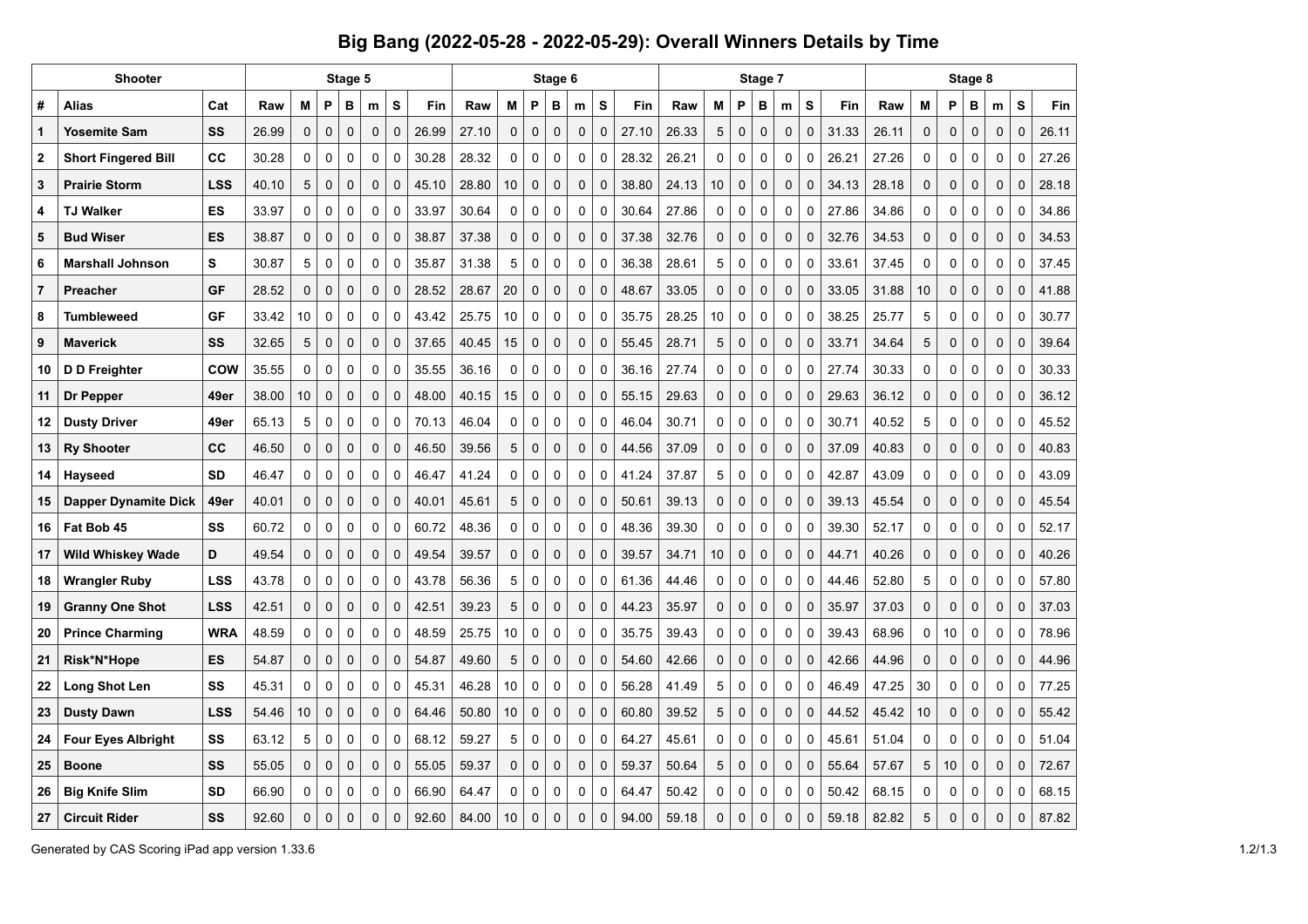## **Big Bang (2022-05-28 - 2022-05-29): Overall Winners Details by Time**

|                | Shooter                     |            |       |                 | Stage 5      |             |             |             |       |       |    | Stage 6     |             |             |             |            |       |             | Stage 7      |              |             |              |       |       |    | Stage 8     |             |             | Fin<br>26.11 |       |
|----------------|-----------------------------|------------|-------|-----------------|--------------|-------------|-------------|-------------|-------|-------|----|-------------|-------------|-------------|-------------|------------|-------|-------------|--------------|--------------|-------------|--------------|-------|-------|----|-------------|-------------|-------------|--------------|-------|
| #              | Alias                       | Cat        | Raw   | M               | P            | B           | m           | S           | Fin   | Raw   | м  | P           | B           | m           | S           | <b>Fin</b> | Raw   | М           | P            | B            | m           | s            | Fin   | Raw   | М  | P           | в           | m           | S            |       |
| $\mathbf 1$    | <b>Yosemite Sam</b>         | SS         | 26.99 | 0               | $\mathbf 0$  | $\mathbf 0$ | 0           | $\mathbf 0$ | 26.99 | 27.10 | 0  | 0           | $\mathbf 0$ | $\mathbf 0$ | 0           | 27.10      | 26.33 | 5           | $\mathbf 0$  | $\mathbf 0$  | $\mathbf 0$ | $\mathbf{0}$ | 31.33 | 26.11 | 0  | 0           | 0           | 0           | $\mathbf{0}$ |       |
| $\mathbf{2}$   | <b>Short Fingered Bill</b>  | СC         | 30.28 | 0               | $\mathbf 0$  | 0           | $\mathbf 0$ | $\Omega$    | 30.28 | 28.32 | 0  | 0           | $\mathbf 0$ | $\mathbf 0$ | 0           | 28.32      | 26.21 | 0           | 0            | $\mathbf 0$  | 0           | $\Omega$     | 26.21 | 27.26 | 0  | 0           | 0           | 0           | 0            | 27.26 |
| 3              | <b>Prairie Storm</b>        | <b>LSS</b> | 40.10 | 5               | $\mathbf 0$  | $\mathbf 0$ | $\mathbf 0$ | $\Omega$    | 45.10 | 28.80 | 10 | 0           | $\mathbf 0$ | 0           | 0           | 38.80      | 24.13 | 10          | 0            | $\mathbf 0$  | $\Omega$    | 0            | 34.13 | 28.18 | 0  | 0           | $\mathbf 0$ | $\Omega$    | $\Omega$     | 28.18 |
| 4              | <b>TJ Walker</b>            | ES         | 33.97 | 0               | $\mathbf 0$  | 0           | $\mathbf 0$ | $\mathbf 0$ | 33.97 | 30.64 | 0  | 0           | $\mathbf 0$ | 0           | 0           | 30.64      | 27.86 | 0           | 0            | $\mathbf 0$  | 0           | 0            | 27.86 | 34.86 | 0  | 0           | 0           | 0           | 0            | 34.86 |
| 5              | <b>Bud Wiser</b>            | <b>ES</b>  | 38.87 | 0               | $\mathbf 0$  | $\mathbf 0$ | $\mathbf 0$ | $\mathbf 0$ | 38.87 | 37.38 | 0  | 0           | $\mathbf 0$ | $\mathbf 0$ | 0           | 37.38      | 32.76 | $\mathbf 0$ | 0            | $\mathbf 0$  | $\mathbf 0$ | $\mathbf 0$  | 32.76 | 34.53 | 0  | 0           | $\mathbf 0$ | $\mathbf 0$ | 0            | 34.53 |
| 6              | <b>Marshall Johnson</b>     | S          | 30.87 | 5               | $\mathbf 0$  | 0           | $\mathbf 0$ | 0           | 35.87 | 31.38 | 5  | 0           | $\mathbf 0$ | $\mathbf 0$ | 0           | 36.38      | 28.61 | 5           | 0            | 0            | 0           | 0            | 33.61 | 37.45 | 0  | 0           | 0           | 0           | 0            | 37.45 |
| $\overline{7}$ | Preacher                    | GF         | 28.52 | 0               | $\mathbf{0}$ | 0           | $\mathbf 0$ | $\mathbf 0$ | 28.52 | 28.67 | 20 | 0           | $\mathbf 0$ | $\mathbf 0$ | 0           | 48.67      | 33.05 | $\mathbf 0$ | $\mathbf 0$  | $\mathbf 0$  | $\mathbf 0$ | $\mathbf 0$  | 33.05 | 31.88 | 10 | 0           | $\mathbf 0$ | $\mathbf 0$ | 0            | 41.88 |
| 8              | <b>Tumbleweed</b>           | GF         | 33.42 | 10              | 0            | 0           | 0           | $\Omega$    | 43.42 | 25.75 | 10 | 0           | 0           | $\mathbf 0$ | 0           | 35.75      | 28.25 | 10          | 0            | 0            | 0           | 0            | 38.25 | 25.77 | 5  | 0           | 0           | 0           | 0            | 30.77 |
| 9              | <b>Maverick</b>             | SS         | 32.65 | 5               | $\Omega$     | $\Omega$    | $\Omega$    | $\Omega$    | 37.65 | 40.45 | 15 | 0           | $\Omega$    | 0           | $\mathbf 0$ | 55.45      | 28.71 | 5           | $\mathbf{0}$ | $\Omega$     | $\Omega$    | $\Omega$     | 33.71 | 34.64 | 5  | 0           | $\Omega$    | $\Omega$    | $\Omega$     | 39.64 |
| 10             | D D Freighter               | COW        | 35.55 | 0               | 0            | $\mathbf 0$ | 0           | $\Omega$    | 35.55 | 36.16 | 0  | $\Omega$    | $\Omega$    | 0           | 0           | 36.16      | 27.74 | 0           | 0            | $\mathbf 0$  | 0           | $\Omega$     | 27.74 | 30.33 | 0  | 0           | 0           | 0           | 0            | 30.33 |
| 11             | Dr Pepper                   | 49er       | 38.00 | 10 <sup>°</sup> | $\mathbf 0$  | $\mathbf 0$ | $\mathbf 0$ | $\Omega$    | 48.00 | 40.15 | 15 | 0           | $\mathbf 0$ | $\mathbf 0$ | 0           | 55.15      | 29.63 | 0           | $\mathbf{0}$ | $\mathbf{0}$ | $\mathbf 0$ | $\mathbf 0$  | 29.63 | 36.12 | 0  | 0           | 0           | 0           | $\mathbf 0$  | 36.12 |
| 12             | <b>Dusty Driver</b>         | 49er       | 65.13 | 5               | $\mathbf 0$  | 0           | $\mathbf 0$ | $\mathbf 0$ | 70.13 | 46.04 | 0  | $\mathbf 0$ | $\mathbf 0$ | $\mathbf 0$ | 0           | 46.04      | 30.71 | 0           | 0            | $\mathbf 0$  | 0           | 0            | 30.71 | 40.52 | 5  | 0           | 0           | 0           | 0            | 45.52 |
| 13             | <b>Ry Shooter</b>           | CC         | 46.50 | 0               | $\mathbf{0}$ | $\mathbf 0$ | $\mathbf 0$ | $\Omega$    | 46.50 | 39.56 | 5  | 0           | $\mathbf 0$ | $\mathbf 0$ | 0           | 44.56      | 37.09 | $\mathbf 0$ | $\mathbf 0$  | $\mathbf{0}$ | $\mathbf 0$ | 0            | 37.09 | 40.83 | 0  | 0           | 0           | $\mathbf 0$ | $\Omega$     | 40.83 |
| 14             | Hayseed                     | <b>SD</b>  | 46.47 | 0               | 0            | 0           | 0           | $\Omega$    | 46.47 | 41.24 | 0  | 0           | 0           | 0           | 0           | 41.24      | 37.87 | 5           | 0            | 0            | 0           | 0            | 42.87 | 43.09 | 0  | 0           | 0           | 0           | 0            | 43.09 |
| 15             | <b>Dapper Dynamite Dick</b> | 49er       | 40.01 | 0               | $\mathbf{0}$ | $\mathbf 0$ | $\mathbf 0$ | $\mathbf 0$ | 40.01 | 45.61 | 5  | $\mathbf 0$ | $\mathbf 0$ | $\mathbf 0$ | 0           | 50.61      | 39.13 | $\mathbf 0$ | 0            | $\mathbf 0$  | $\mathbf 0$ | $\mathbf 0$  | 39.13 | 45.54 | 0  | 0           | $\mathbf 0$ | $\mathbf 0$ | $\mathbf 0$  | 45.54 |
| 16             | Fat Bob 45                  | SS         | 60.72 | 0               | $\mathbf 0$  | 0           | $\mathbf 0$ | $\mathbf 0$ | 60.72 | 48.36 | 0  | 0           | $\mathbf 0$ | 0           | 0           | 48.36      | 39.30 | 0           | 0            | $\mathbf 0$  | 0           | $\mathbf 0$  | 39.30 | 52.17 | 0  | 0           | 0           | 0           | $\Omega$     | 52.17 |
| 17             | Wild Whiskey Wade           | D          | 49.54 | 0               | $\mathbf 0$  | 0           | $\mathbf 0$ | $\mathbf 0$ | 49.54 | 39.57 | 0  | 0           | $\mathbf 0$ | 0           | 0           | 39.57      | 34.71 | 10          | 0            | $\mathbf 0$  | 0           | 0            | 44.71 | 40.26 | 0  | 0           | 0           | $\mathbf 0$ | $\mathbf 0$  | 40.26 |
| 18             | <b>Wrangler Ruby</b>        | <b>LSS</b> | 43.78 | 0               | 0            | 0           | 0           | $\mathbf 0$ | 43.78 | 56.36 | 5  | 0           | 0           | 0           | 0           | 61.36      | 44.46 | 0           | 0            | $\mathbf 0$  | 0           | 0            | 44.46 | 52.80 | 5  | 0           | 0           | 0           | 0            | 57.80 |
| 19             | <b>Granny One Shot</b>      | <b>LSS</b> | 42.51 | 0               | $\Omega$     | $\Omega$    | $\Omega$    | $\Omega$    | 42.51 | 39.23 | 5  | $\Omega$    | $\Omega$    | 0           | 0           | 44.23      | 35.97 | $\Omega$    | $\Omega$     | $\Omega$     | $\Omega$    | O            | 35.97 | 37.03 | 0  | 0           | $\Omega$    | $\Omega$    | $\Omega$     | 37.03 |
| 20             | <b>Prince Charming</b>      | <b>WRA</b> | 48.59 | 0               | 0            | 0           | 0           | $\Omega$    | 48.59 | 25.75 | 10 | 0           | 0           | 0           | 0           | 35.75      | 39.43 | 0           | 0            | 0            | 0           | $\Omega$     | 39.43 | 68.96 | 0  | 10          | 0           | 0           | 0            | 78.96 |
| 21             | Risk*N*Hope                 | <b>ES</b>  | 54.87 | 0               | $\mathbf 0$  | $\mathbf 0$ | $\mathbf 0$ | $\Omega$    | 54.87 | 49.60 | 5  | $\Omega$    | $\mathbf 0$ | $\mathbf 0$ | $\mathbf 0$ | 54.60      | 42.66 | $\mathbf 0$ | $\mathbf{0}$ | $\mathbf 0$  | $\mathbf 0$ | $\Omega$     | 42.66 | 44.96 | 0  | $\mathbf 0$ | $\mathbf 0$ | $\mathbf 0$ | $\mathbf 0$  | 44.96 |
| 22             | Long Shot Len               | SS         | 45.31 | 0               | $\mathbf 0$  | 0           | $\mathbf 0$ | $\mathbf 0$ | 45.31 | 46.28 | 10 | 0           | $\mathbf 0$ | $\mathbf 0$ | 0           | 56.28      | 41.49 | 5           | 0            | $\mathbf 0$  | 0           | 0            | 46.49 | 47.25 | 30 | 0           | 0           | 0           | 0            | 77.25 |
| 23             | <b>Dusty Dawn</b>           | <b>LSS</b> | 54.46 | 10              | $\mathbf 0$  | $\mathbf 0$ | $\mathbf 0$ | $\Omega$    | 64.46 | 50.80 | 10 | 0           | $\mathbf 0$ | $\mathbf 0$ | 0           | 60.80      | 39.52 | 5           | 0            | $\mathbf 0$  | 0           | 0            | 44.52 | 45.42 | 10 | 0           | 0           | $\mathbf 0$ | $\mathbf 0$  | 55.42 |
| 24             | <b>Four Eyes Albright</b>   | SS         | 63.12 | 5               | $\mathbf 0$  | 0           | $\mathbf 0$ | $\mathbf 0$ | 68.12 | 59.27 | 5  | $\mathbf 0$ | $\mathbf 0$ | $\mathbf 0$ | 0           | 64.27      | 45.61 | 0           | 0            | $\mathbf 0$  | 0           | $\Omega$     | 45.61 | 51.04 | 0  | 0           | $\mathbf 0$ | 0           | 0            | 51.04 |
| 25             | <b>Boone</b>                | SS         | 55.05 | 0               | 0            | 0           | 0           | $\Omega$    | 55.05 | 59.37 | 0  | 0           | 0           | 0           | 0           | 59.37      | 50.64 | 5           | 0            | $\mathbf 0$  | 0           | $\mathbf 0$  | 55.64 | 57.67 | 5  | 10          | 0           | $\mathbf 0$ | $\mathbf 0$  | 72.67 |
| 26             | <b>Big Knife Slim</b>       | <b>SD</b>  | 66.90 | 0               | 0            | 0           | $\mathbf 0$ | $\Omega$    | 66.90 | 64.47 | 0  | 0           | $\mathbf 0$ | 0           | 0           | 64.47      | 50.42 | 0           | 0            | 0            | 0           | 0            | 50.42 | 68.15 | 0  | 0           | 0           | 0           | 0            | 68.15 |
| 27             | <b>Circuit Rider</b>        | SS         | 92.60 | O               | $\Omega$     | $\mathbf 0$ | $\Omega$    | $\Omega$    | 92.60 | 84.00 | 10 | $\Omega$    | $\mathbf 0$ | $\Omega$    | 0           | 94.00      | 59.18 | $\Omega$    | $\mathbf 0$  | $\mathbf 0$  | $\Omega$    | 0            | 59.18 | 82.82 | 5  | 0           | 0           | $\Omega$    | $\Omega$     | 87.82 |

Generated by CAS Scoring iPad app version 1.33.6 1.2/1.3